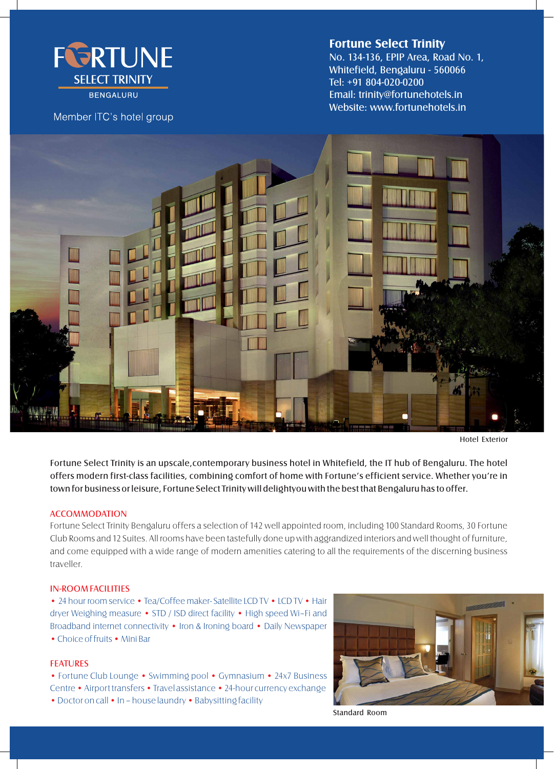

## Member ITC's hotel group

# **Fortune Select Trinity**

Email: trinity@fortunehotels.in Website: www.fortunehotels.in No. 134-136, EPIP Area, Road No. 1, Whitefield, Bengaluru - 560066 Tel: +91 804-020-0200



Hotel Exterior

Fortune Select Trinity is an upscale,contemporary business hotel in Whitefield, the IT hub of Bengaluru. The hotel offers modern first-class facilities, combining comfort of home with Fortune's efficient service. Whether you're in town for business or leisure, Fortune Select Trinity will delightyou with the best that Bengaluru has to offer.

### **ACCOMMODATION**

Fortune Select Trinity Bengaluru offers a selection of 142 well appointed room, including 100 Standard Rooms, 30 Fortune Club Rooms and 12 Suites. All rooms have been tastefully done up with aggrandized interiors and well thought of furniture, and come equipped with a wide range of modern amenities catering to all the requirements of the discerning business traveller.

### IN-ROOM FACILITIES

• 24 hour room service • Tea/Coffee maker-Satellite LCD TV • LCD TV • Hair dryer Weighing measure • STD / ISD direct facility • High speed Wi–Fi and Broadband internet connectivity • Iron & Ironing board • Daily Newspaper •Choice of fruits • Mini Bar

#### FEATURES

• Fortune Club Lounge • Swimming pool • Gymnasium • 24x7 Business Centre •Airport transfers •Travel assistance •24-hour currency exchange • Doctor on call • In – house laundry • Babysitting facility



Standard Room